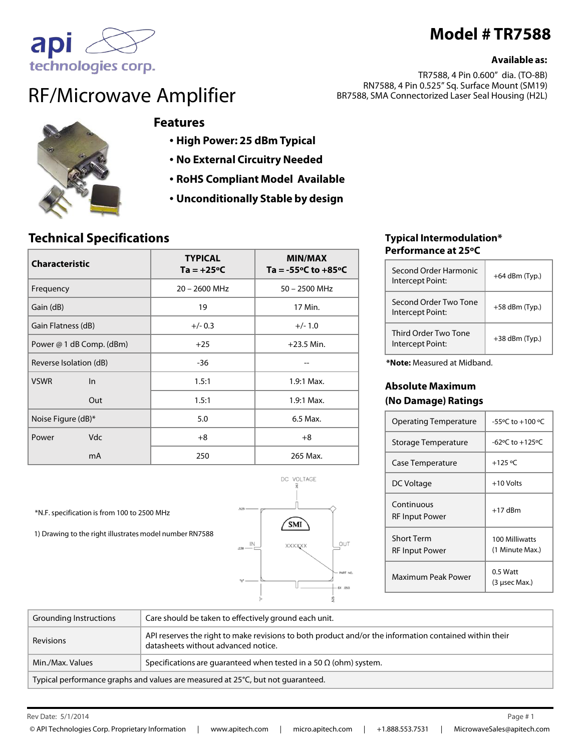# **Model # TR7588**

#### **Available as:**

TR7588, 4 Pin 0.600" dia. (TO-8B) RN7588, 4 Pin 0.525" Sq. Surface Mount (SM19) BR7588, SMA Connectorized Laser Seal Housing (H2L)



technologies corp.

apı

### **Features**

- **High Power: 25 dBm Typical**
- **No External Circuitry Needed**
- **RoHS Compliant Model Available**
- **Unconditionally Stable by design**

### **Technical Specifications**

1) Drawing to the right illustrates model number RN7588

\*N.F. specification is from 100 to 2500 MHz

| <b>Characteristic</b>    | <b>TYPICAL</b><br>$Ta = +25°C$ | <b>MIN/MAX</b><br>Ta = $-55^{\circ}$ C to $+85^{\circ}$ C |
|--------------------------|--------------------------------|-----------------------------------------------------------|
| Frequency                | 20 - 2600 MHz                  | 50 - 2500 MHz                                             |
| Gain (dB)                | 19                             | 17 Min.                                                   |
| Gain Flatness (dB)       | $+/- 0.3$                      | $+/- 1.0$                                                 |
| Power @ 1 dB Comp. (dBm) | $+25$                          | $+23.5$ Min.                                              |
| Reverse Isolation (dB)   | -36                            |                                                           |
| <b>VSWR</b><br>$\ln$     | 1.5:1                          | $1.9:1$ Max.                                              |
| Out                      | 1.5:1                          | $1.9:1$ Max.                                              |
| Noise Figure (dB)*       | 5.0                            | 6.5 Max.                                                  |
| <b>Vdc</b><br>Power      | $+8$                           | $+8$                                                      |
| m <sub>A</sub>           | 250                            | 265 Max.                                                  |



#### **Typical Intermodulation\* Performance at 25ºC**

| Second Order Harmonic<br>Intercept Point: | $+64$ dBm (Typ.) |
|-------------------------------------------|------------------|
| Second Order Two Tone<br>Intercept Point: | $+58$ dBm (Typ.) |
| Third Order Two Tone<br>Intercept Point:  | $+38$ dBm (Typ.) |

**\*Note:** Measured at Midband.

#### **Absolute Maximum (No Damage) Ratings**

| <b>Operating Temperature</b>        | -55°C to +100 °C                  |
|-------------------------------------|-----------------------------------|
| Storage Temperature                 | $-62$ °C to $+125$ °C             |
| Case Temperature                    | $+125 °C$                         |
| DC Voltage                          | $+10$ Volts                       |
| Continuous<br>RF Input Power        | $+17$ dBm                         |
| <b>Short Term</b><br>RF Input Power | 100 Milliwatts<br>(1 Minute Max.) |
| Maximum Peak Power                  | $0.5$ Watt<br>(3 usec Max.)       |

| Grounding Instructions                                                          | Care should be taken to effectively ground each unit.                                                                                         |
|---------------------------------------------------------------------------------|-----------------------------------------------------------------------------------------------------------------------------------------------|
| Revisions                                                                       | API reserves the right to make revisions to both product and/or the information contained within their<br>datasheets without advanced notice. |
| Min./Max. Values                                                                | Specifications are guaranteed when tested in a 50 $\Omega$ (ohm) system.                                                                      |
| Typical performance graphs and values are measured at 25°C, but not guaranteed. |                                                                                                                                               |

Rev Date: Page #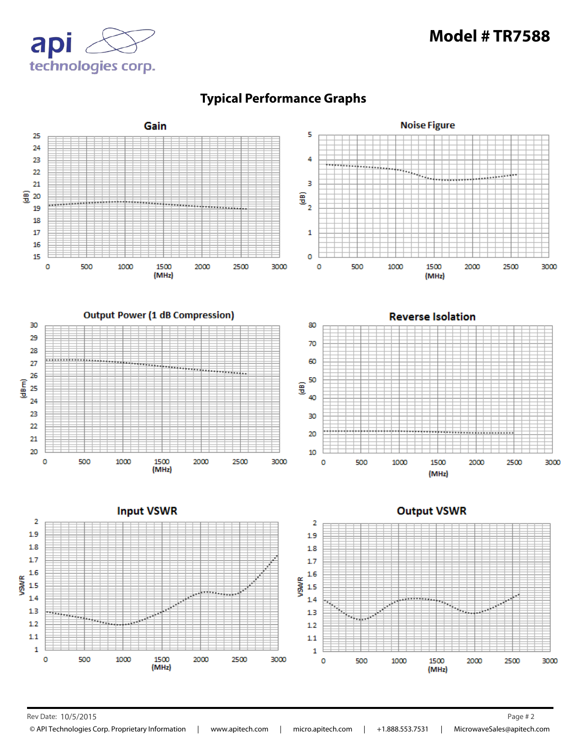# **Model # TR7588**





## **Typical Performance Graphs**

Rev Date: 10/5/2015 Page # 2

© API Technologies Corp. Proprietary Information | www.apitech.com | micro.apitech.com | +1.888.553.7531 | MicrowaveSales@apitech.com